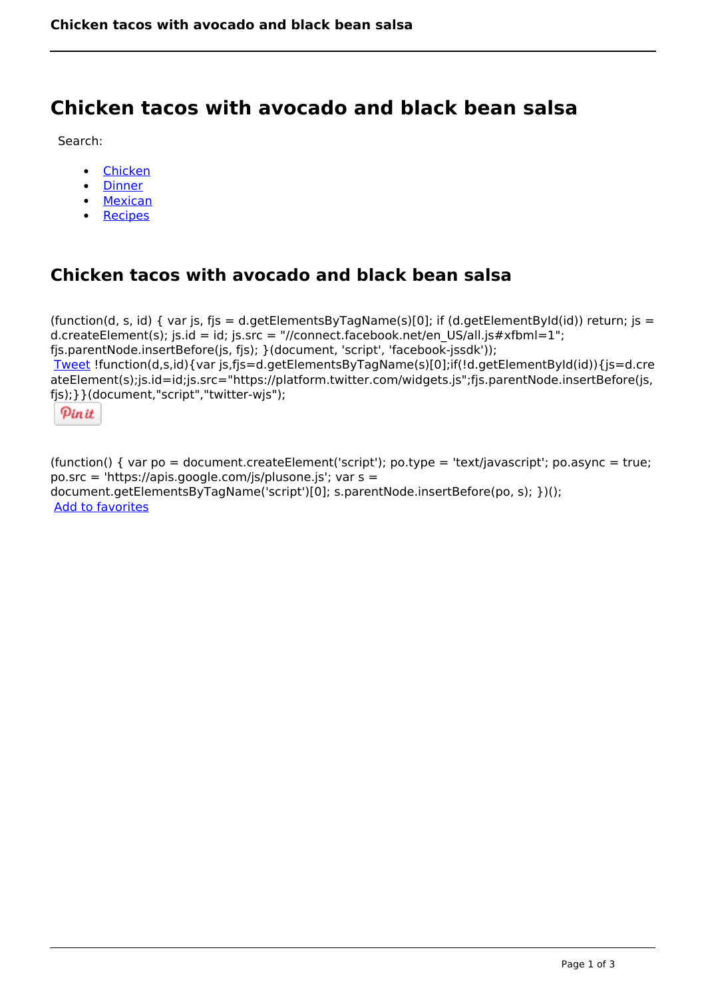# **Chicken tacos with avocado and black bean salsa**

Search:

- [Chicken](https://www.naturalhealthmag.com.au/nourish/chicken)
- [Dinner](https://www.naturalhealthmag.com.au/nourish/dinner-ideas)
- [Mexican](https://www.naturalhealthmag.com.au/nourish/mexican)
- [Recipes](https://www.naturalhealthmag.com.au/nourish/recipes)

# **Chicken tacos with avocado and black bean salsa**

(function(d, s, id) { var js, fjs = d.getElementsByTagName(s)[0]; if (d.getElementById(id)) return; js = d.createElement(s); js.id = id; js.src = "//connect.facebook.net/en\_US/all.js#xfbml=1"; fjs.parentNode.insertBefore(js, fjs); }(document, 'script', 'facebook-jssdk')); [Tweet](https://twitter.com/share) !function(d,s,id){var js,fjs=d.getElementsByTagName(s)[0];if(!d.getElementById(id)){js=d.cre ateElement(s);js.id=id;js.src="https://platform.twitter.com/widgets.js";fjs.parentNode.insertBefore(js, fjs);}}(document,"script","twitter-wjs");

Pinit

(function() { var po = document.createElement('script'); po.type = 'text/javascript'; po.async = true; po.src = 'https://apis.google.com/js/plusone.js'; var s = document.getElementsByTagName('script')[0]; s.parentNode.insertBefore(po, s); })(); Add to favorites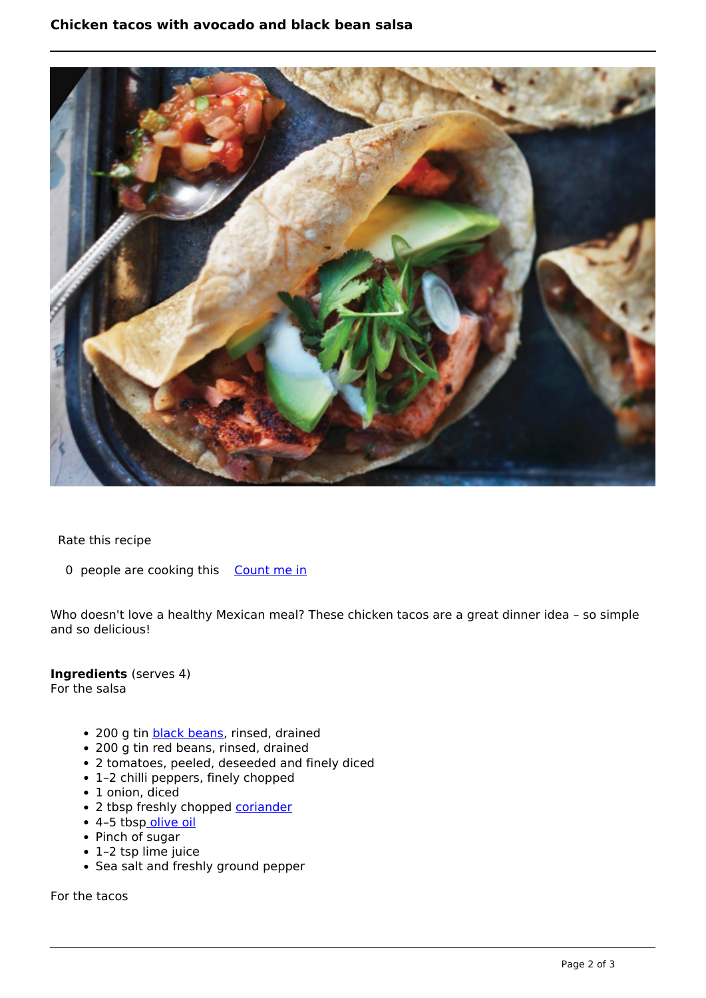## **Chicken tacos with avocado and black bean salsa**



Rate this recipe

0 people are cooking this [Count me in](https://www.naturalhealthmag.com.au/flag/flag/favorites/1756?destination=printpdf%2F1756&token=e556fcb0b584103185c0ba0ef8aa84da)

Who doesn't love a healthy Mexican meal? These chicken tacos are a great dinner idea – so simple and so delicious!

### **Ingredients** (serves 4)

For the salsa

- 200 g tin **black beans**, rinsed, drained
- 200 g tin red beans, rinsed, drained
- 2 tomatoes, peeled, deseeded and finely diced
- 1–2 chilli peppers, finely chopped
- 1 onion, diced
- 2 tbsp freshly chopped [coriander](http://www.naturalhealthmag.com.au/nourish/kale-coriander-pancakes-vegan-gf)
- 4-5 tbs[p olive oil](http://www.naturalhealthmag.com.au/nourish/healthy-cooking-oils)
- Pinch of sugar
- 1–2 tsp lime juice
- Sea salt and freshly ground pepper

For the tacos